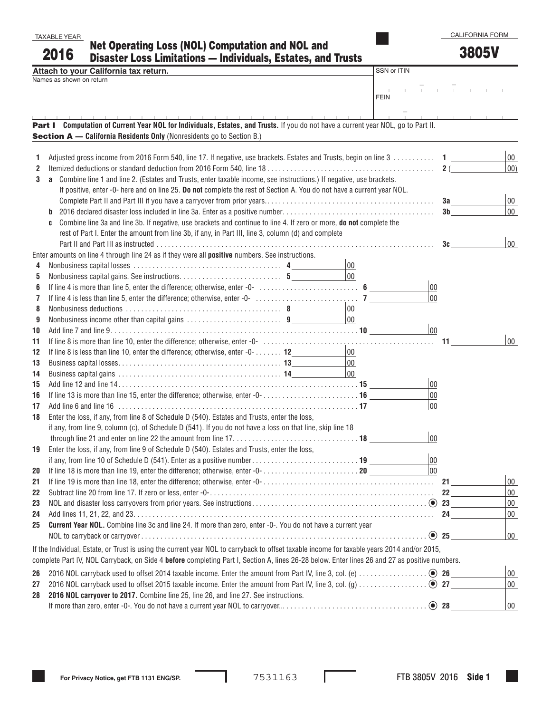CALIFORNIA FORM

| TAXABLE YEAR |                                                                     |
|--------------|---------------------------------------------------------------------|
| 2016         | <b>Net Operating Loss (NOL) Computation and NOL and</b>             |
|              | <b>Disaster Loss Limitations - Individuals, Estates, and Trusts</b> |

3805V

|    | Attach to your California tax return.                                                                                                                                                                                           | SSN or ITIN |                        |              |
|----|---------------------------------------------------------------------------------------------------------------------------------------------------------------------------------------------------------------------------------|-------------|------------------------|--------------|
|    | Names as shown on return                                                                                                                                                                                                        |             |                        |              |
|    |                                                                                                                                                                                                                                 |             |                        |              |
|    | <b>FEIN</b>                                                                                                                                                                                                                     |             |                        |              |
|    |                                                                                                                                                                                                                                 |             |                        |              |
|    | Part I Computation of Current Year NOL for Individuals, Estates, and Trusts. If you do not have a current year NOL, go to Part II.                                                                                              |             |                        |              |
|    | Section A - California Residents Only (Nonresidents go to Section B.)                                                                                                                                                           |             |                        |              |
|    |                                                                                                                                                                                                                                 |             |                        |              |
| 1  | Adjusted gross income from 2016 Form 540, line 17. If negative, use brackets. Estates and Trusts, begin on line 3 1                                                                                                             |             |                        | 00           |
| 2  |                                                                                                                                                                                                                                 |             |                        | $ 00\rangle$ |
| 3  | Combine line 1 and line 2. (Estates and Trusts, enter taxable income, see instructions.) If negative, use brackets.<br>a                                                                                                        |             |                        |              |
|    | If positive, enter -0- here and on line 25. Do not complete the rest of Section A. You do not have a current year NOL.                                                                                                          |             |                        |              |
|    |                                                                                                                                                                                                                                 |             |                        | $ 00\rangle$ |
|    |                                                                                                                                                                                                                                 |             | 3 <sub>b</sub>         | 00           |
|    | Combine line 3a and line 3b. If negative, use brackets and continue to line 4. If zero or more, do not complete the<br>C<br>rest of Part I. Enter the amount from line 3b, if any, in Part III, line 3, column (d) and complete |             |                        |              |
|    |                                                                                                                                                                                                                                 |             | 3c                     | 00           |
|    | Enter amounts on line 4 through line 24 as if they were all positive numbers. See instructions.                                                                                                                                 |             |                        |              |
| 4  | 00                                                                                                                                                                                                                              |             |                        |              |
| 5  | $ 00\rangle$                                                                                                                                                                                                                    |             |                        |              |
| 6  |                                                                                                                                                                                                                                 | 00          |                        |              |
| 7  |                                                                                                                                                                                                                                 | 00          |                        |              |
| 8  | 00                                                                                                                                                                                                                              |             |                        |              |
| 9  | $\overline{00}$                                                                                                                                                                                                                 |             |                        |              |
| 10 |                                                                                                                                                                                                                                 | 00          |                        |              |
| 11 |                                                                                                                                                                                                                                 |             |                        | 00           |
| 12 | 00<br>If line 8 is less than line 10, enter the difference; otherwise, enter -0- 12__________________                                                                                                                           |             |                        |              |
| 13 | $ 00\rangle$                                                                                                                                                                                                                    |             |                        |              |
| 14 | $\overline{00}$                                                                                                                                                                                                                 |             |                        |              |
| 15 |                                                                                                                                                                                                                                 | 00          |                        |              |
| 16 |                                                                                                                                                                                                                                 | 00          |                        |              |
| 17 |                                                                                                                                                                                                                                 | 00          |                        |              |
| 18 | Enter the loss, if any, from line 8 of Schedule D (540). Estates and Trusts, enter the loss,                                                                                                                                    |             |                        |              |
|    | if any, from line 9, column (c), of Schedule D (541). If you do not have a loss on that line, skip line 18                                                                                                                      |             |                        |              |
|    |                                                                                                                                                                                                                                 | 00          |                        |              |
| 19 | Enter the loss, if any, from line 9 of Schedule D (540). Estates and Trusts, enter the loss,                                                                                                                                    |             |                        |              |
|    |                                                                                                                                                                                                                                 | 00          |                        |              |
| 20 |                                                                                                                                                                                                                                 | $ _{00}$    |                        |              |
| 21 |                                                                                                                                                                                                                                 |             | $21$ <sub>______</sub> | 00           |
| 22 |                                                                                                                                                                                                                                 |             | 22                     | $00\,$       |
| 23 |                                                                                                                                                                                                                                 |             |                        | $00\,$       |
| 24 |                                                                                                                                                                                                                                 |             |                        | $00\,$       |
| 25 | Current Year NOL. Combine line 3c and line 24. If more than zero, enter -0-. You do not have a current year                                                                                                                     |             |                        |              |
|    |                                                                                                                                                                                                                                 |             |                        | 00           |
|    | If the Individual, Estate, or Trust is using the current year NOL to carryback to offset taxable income for taxable years 2014 and/or 2015,                                                                                     |             |                        |              |
|    | complete Part IV, NOL Carryback, on Side 4 before completing Part I, Section A, lines 26-28 below. Enter lines 26 and 27 as positive numbers.                                                                                   |             |                        |              |
| 26 |                                                                                                                                                                                                                                 |             |                        | 00           |
| 27 |                                                                                                                                                                                                                                 |             |                        | $00\,$       |
| 28 | 2016 NOL carryover to 2017. Combine line 25, line 26, and line 27. See instructions.                                                                                                                                            |             |                        |              |
|    |                                                                                                                                                                                                                                 |             |                        | 00           |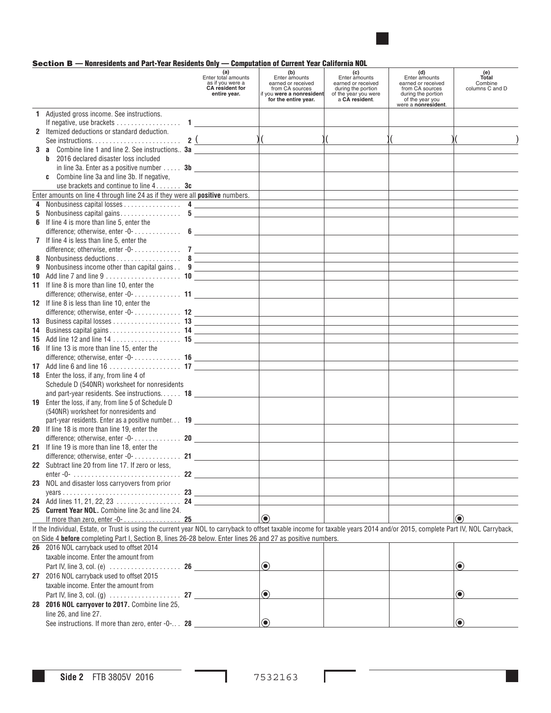

# Section B — Nonresidents and Part-Year Residents Only — Computation of Current Year California NOL

|   |                                                                                                                                                                              | (a)<br>Enter total amounts<br>as if you were a<br><b>CA</b> resident for<br>entire year. | (b)<br>Enter amounts<br>earned or received<br>from CA sources<br>if you were a nonresident<br>for the entire year. | (c)<br>Enter amounts<br>earned or received<br>during the portion<br>of the year you were<br>a CA resident. | (d)<br>Enter amounts<br>earned or received<br>from CA sources<br>during the portion<br>of the year you | (e)<br>Total<br>Combine<br>columns C and D |
|---|------------------------------------------------------------------------------------------------------------------------------------------------------------------------------|------------------------------------------------------------------------------------------|--------------------------------------------------------------------------------------------------------------------|------------------------------------------------------------------------------------------------------------|--------------------------------------------------------------------------------------------------------|--------------------------------------------|
|   | 1 Adjusted gross income. See instructions.                                                                                                                                   |                                                                                          |                                                                                                                    |                                                                                                            | were a nonresident.                                                                                    |                                            |
|   | If negative, use brackets $\dots\dots\dots\dots\dots\dots$ 1                                                                                                                 |                                                                                          |                                                                                                                    |                                                                                                            |                                                                                                        |                                            |
|   | 2 Itemized deductions or standard deduction.                                                                                                                                 |                                                                                          |                                                                                                                    |                                                                                                            |                                                                                                        |                                            |
|   |                                                                                                                                                                              |                                                                                          |                                                                                                                    | $\sqrt{2}$                                                                                                 |                                                                                                        |                                            |
|   | 3 a Combine line 1 and line 2. See instructions 3a                                                                                                                           |                                                                                          |                                                                                                                    |                                                                                                            |                                                                                                        |                                            |
|   | 2016 declared disaster loss included<br>b                                                                                                                                    |                                                                                          |                                                                                                                    |                                                                                                            |                                                                                                        |                                            |
|   | in line 3a. Enter as a positive number $\dots$ 3b                                                                                                                            |                                                                                          |                                                                                                                    |                                                                                                            |                                                                                                        |                                            |
|   | c Combine line 3a and line 3b. If negative,                                                                                                                                  |                                                                                          |                                                                                                                    |                                                                                                            |                                                                                                        |                                            |
|   | use brackets and continue to line $4 \ldots$ <b>3c</b><br>Enter amounts on line 4 through line 24 as if they were all positive numbers.                                      |                                                                                          |                                                                                                                    |                                                                                                            |                                                                                                        |                                            |
|   | 4 Nonbusiness capital losses 4                                                                                                                                               |                                                                                          |                                                                                                                    |                                                                                                            |                                                                                                        |                                            |
| 5 |                                                                                                                                                                              |                                                                                          |                                                                                                                    |                                                                                                            |                                                                                                        |                                            |
|   | 6 If line 4 is more than line 5, enter the                                                                                                                                   |                                                                                          |                                                                                                                    |                                                                                                            |                                                                                                        |                                            |
|   | difference; otherwise, enter -0- $\dots\dots\dots\dots$ 6                                                                                                                    |                                                                                          |                                                                                                                    |                                                                                                            |                                                                                                        |                                            |
|   | 7 If line 4 is less than line 5, enter the                                                                                                                                   |                                                                                          |                                                                                                                    |                                                                                                            |                                                                                                        |                                            |
|   | difference; otherwise, enter -0- 7                                                                                                                                           |                                                                                          |                                                                                                                    |                                                                                                            |                                                                                                        |                                            |
|   | 8 Nonbusiness deductions 8                                                                                                                                                   |                                                                                          | <u> 1989 - Johann Barnett, fransk politiker (</u>                                                                  |                                                                                                            |                                                                                                        |                                            |
| 9 | Nonbusiness income other than capital gains 9                                                                                                                                |                                                                                          |                                                                                                                    |                                                                                                            |                                                                                                        |                                            |
|   | 11 If line 8 is more than line 10, enter the                                                                                                                                 |                                                                                          |                                                                                                                    |                                                                                                            |                                                                                                        |                                            |
|   | difference; otherwise, enter -0- 11                                                                                                                                          |                                                                                          |                                                                                                                    |                                                                                                            |                                                                                                        |                                            |
|   | 12 If line 8 is less than line 10, enter the                                                                                                                                 |                                                                                          |                                                                                                                    |                                                                                                            |                                                                                                        |                                            |
|   |                                                                                                                                                                              |                                                                                          |                                                                                                                    |                                                                                                            |                                                                                                        |                                            |
|   |                                                                                                                                                                              |                                                                                          |                                                                                                                    |                                                                                                            |                                                                                                        |                                            |
|   |                                                                                                                                                                              |                                                                                          |                                                                                                                    |                                                                                                            |                                                                                                        |                                            |
|   |                                                                                                                                                                              |                                                                                          |                                                                                                                    |                                                                                                            |                                                                                                        |                                            |
|   | 16 If line 13 is more than line 15, enter the                                                                                                                                |                                                                                          |                                                                                                                    |                                                                                                            |                                                                                                        |                                            |
|   |                                                                                                                                                                              |                                                                                          |                                                                                                                    |                                                                                                            |                                                                                                        |                                            |
|   | <b>18</b> Enter the loss, if any, from line 4 of                                                                                                                             |                                                                                          |                                                                                                                    |                                                                                                            |                                                                                                        |                                            |
|   | Schedule D (540NR) worksheet for nonresidents                                                                                                                                |                                                                                          |                                                                                                                    |                                                                                                            |                                                                                                        |                                            |
|   | and part-year residents. See instructions 18                                                                                                                                 |                                                                                          |                                                                                                                    |                                                                                                            |                                                                                                        |                                            |
|   | 19 Enter the loss, if any, from line 5 of Schedule D                                                                                                                         |                                                                                          |                                                                                                                    |                                                                                                            |                                                                                                        |                                            |
|   | (540NR) worksheet for nonresidents and                                                                                                                                       |                                                                                          |                                                                                                                    |                                                                                                            |                                                                                                        |                                            |
|   | part-year residents. Enter as a positive number 19                                                                                                                           |                                                                                          |                                                                                                                    |                                                                                                            |                                                                                                        |                                            |
|   | 20 If line 18 is more than line 19, enter the                                                                                                                                |                                                                                          |                                                                                                                    |                                                                                                            |                                                                                                        |                                            |
|   | difference; otherwise, enter -0- 20                                                                                                                                          |                                                                                          |                                                                                                                    |                                                                                                            |                                                                                                        |                                            |
|   | 21 If line 19 is more than line 18, enter the                                                                                                                                |                                                                                          |                                                                                                                    |                                                                                                            |                                                                                                        |                                            |
|   | 22 Subtract line 20 from line 17. If zero or less.                                                                                                                           |                                                                                          |                                                                                                                    |                                                                                                            |                                                                                                        |                                            |
|   |                                                                                                                                                                              |                                                                                          |                                                                                                                    |                                                                                                            |                                                                                                        |                                            |
|   | 23 NOL and disaster loss carryovers from prior                                                                                                                               |                                                                                          |                                                                                                                    |                                                                                                            |                                                                                                        |                                            |
|   |                                                                                                                                                                              |                                                                                          |                                                                                                                    |                                                                                                            |                                                                                                        |                                            |
|   |                                                                                                                                                                              |                                                                                          |                                                                                                                    |                                                                                                            |                                                                                                        |                                            |
|   | 25 Current Year NOL. Combine line 3c and line 24.                                                                                                                            |                                                                                          |                                                                                                                    |                                                                                                            |                                                                                                        |                                            |
|   |                                                                                                                                                                              |                                                                                          | $\odot$                                                                                                            |                                                                                                            |                                                                                                        | $\circledbullet$                           |
|   | If the Individual, Estate, or Trust is using the current year NOL to carryback to offset taxable income for taxable years 2014 and/or 2015, complete Part IV, NOL Carryback, |                                                                                          |                                                                                                                    |                                                                                                            |                                                                                                        |                                            |
|   | on Side 4 before completing Part I, Section B, lines 26-28 below. Enter lines 26 and 27 as positive numbers.<br>26 2016 NOL carryback used to offset 2014                    |                                                                                          |                                                                                                                    |                                                                                                            |                                                                                                        |                                            |
|   | taxable income. Enter the amount from                                                                                                                                        |                                                                                          |                                                                                                                    |                                                                                                            |                                                                                                        |                                            |
|   |                                                                                                                                                                              |                                                                                          | $\odot$                                                                                                            |                                                                                                            |                                                                                                        | $\circledbullet$                           |
|   | 27 2016 NOL carryback used to offset 2015                                                                                                                                    |                                                                                          |                                                                                                                    |                                                                                                            |                                                                                                        |                                            |
|   | taxable income. Enter the amount from                                                                                                                                        |                                                                                          |                                                                                                                    |                                                                                                            |                                                                                                        |                                            |
|   |                                                                                                                                                                              |                                                                                          | $\textcolor{blue}{\bullet}$                                                                                        |                                                                                                            |                                                                                                        | $\odot$                                    |
|   | 28 2016 NOL carryover to 2017. Combine line 25,                                                                                                                              |                                                                                          |                                                                                                                    |                                                                                                            |                                                                                                        |                                            |
|   | line 26, and line 27.                                                                                                                                                        |                                                                                          |                                                                                                                    |                                                                                                            |                                                                                                        |                                            |
|   | See instructions. If more than zero, enter -0- 28                                                                                                                            |                                                                                          | $\odot$                                                                                                            |                                                                                                            |                                                                                                        | $\left( \bullet \right)$                   |

ł

Г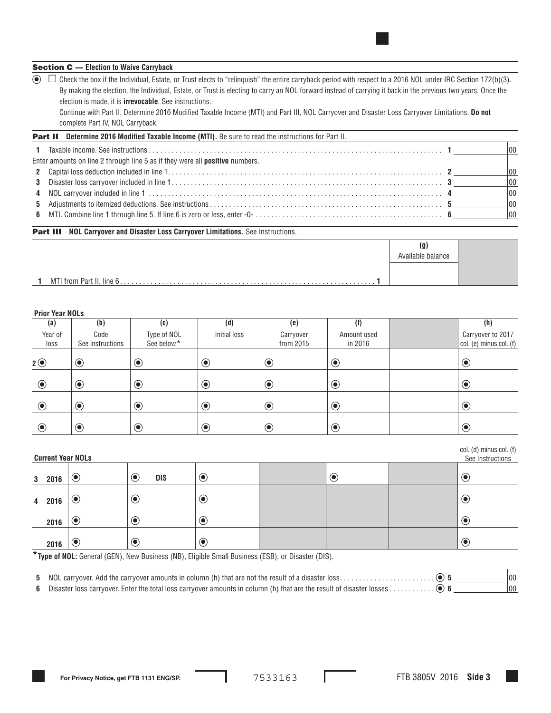## Section C — **Election to Waive Carryback**

 $\odot$   $\Box$  Check the box if the Individual, Estate, or Trust elects to "relinquish" the entire carryback period with respect to a 2016 NOL under IRC Section 172(b)(3). By making the election, the Individual, Estate, or Trust is electing to carry an NOL forward instead of carrying it back in the previous two years. Once the election is made, it is **irrevocable**. See instructions.

Continue with Part II, Determine 2016 Modified Taxable Income (MTI) and Part III, NOL Carryover and Disaster Loss Carryover Limitations. **Do not** complete Part IV, NOL Carryback.

| <b>Part II</b> Determine 2016 Modified Taxable Income (MTI). Be sure to read the instructions for Part II.                                            |              |
|-------------------------------------------------------------------------------------------------------------------------------------------------------|--------------|
|                                                                                                                                                       |              |
| Enter amounts on line 2 through line 5 as if they were all <b>positive</b> numbers.                                                                   |              |
|                                                                                                                                                       | $ 00\rangle$ |
|                                                                                                                                                       | $ 00\rangle$ |
|                                                                                                                                                       | $ 00\rangle$ |
| 5 Adjustments to itemized deductions. See instructions $\dots\dots\dots\dots\dots\dots\dots\dots\dots\dots\dots\dots\dots\dots\dots\dots\dots\dots$ 5 | $ 00\rangle$ |
|                                                                                                                                                       | $ 00\rangle$ |

#### **Part III NOL Carryover and Disaster Loss Carryover Limitations.** See Instructions.

| (Y)<br>Available balance |  |
|--------------------------|--|
|                          |  |

# **Prior Year NOLs**

| (a)             | (b)                      | (c)                                   | (d)                         | (e)                    | (f)                    | (h)                                               |
|-----------------|--------------------------|---------------------------------------|-----------------------------|------------------------|------------------------|---------------------------------------------------|
| Year of<br>loss | Code<br>See instructions | Type of NOL<br>See below <sup>*</sup> | Initial loss                | Carryover<br>from 2015 | Amount used<br>in 2016 | Carryover to 2017<br>$ col. (e)$ minus col. $(f)$ |
| 2 <sup>o</sup>  | $\bigcirc$               | $\bullet$                             | $\bf \odot$                 | $\odot$                | $\odot$                | $\odot$                                           |
| $\odot$         | $\bigcirc$               | $\odot$                               | $\bullet$                   | $\bigcirc$             | $\odot$                | $\odot$                                           |
| $\bigcirc$      | $\bigcirc$               | $\odot$                               | $\textcolor{blue}{\bullet}$ | $\bigcirc$             | $\odot$                | $\bigcirc$                                        |
| $\bigcirc$      | $\bigcirc$               | $\odot$                               | $\odot$                     | $\odot$                | $\bigcirc$             | $\bigcirc$                                        |

|   | col. (d) minus col. (f)<br>See Instructions<br><b>Current Year NOLs</b> |           |                                        |            |  |         |  |                   |
|---|-------------------------------------------------------------------------|-----------|----------------------------------------|------------|--|---------|--|-------------------|
|   | 3 2016                                                                  | $\bullet$ | $\left( \bullet \right)$<br><b>DIS</b> | $\odot$    |  | $\odot$ |  | $\bullet$         |
| 4 | 2016                                                                    | $\bullet$ | $\bullet$                              | $\odot$    |  |         |  | $\mathbf{\Theta}$ |
|   | 2016                                                                    | $\bullet$ | $\bullet$                              | $\bigcirc$ |  |         |  | $\bullet$         |
|   | 2016                                                                    | $\bullet$ | $\mathbf{\Theta}$                      | $\odot$    |  |         |  | $\bullet$         |

**\*Type of NOL:** General (GEN), New Business (NB), Eligible Small Business (ESB), or Disaster (DIS).

**5** NOL carryover. Add the carryover amounts in column (h) that are not the result of a disaster loss . . **5** 00

**6** Disaster loss carryover. Enter the total loss carryover amounts in column (h) that are the result of disaster losses . . **6** 00

 $\overline{I_{\alpha}}$